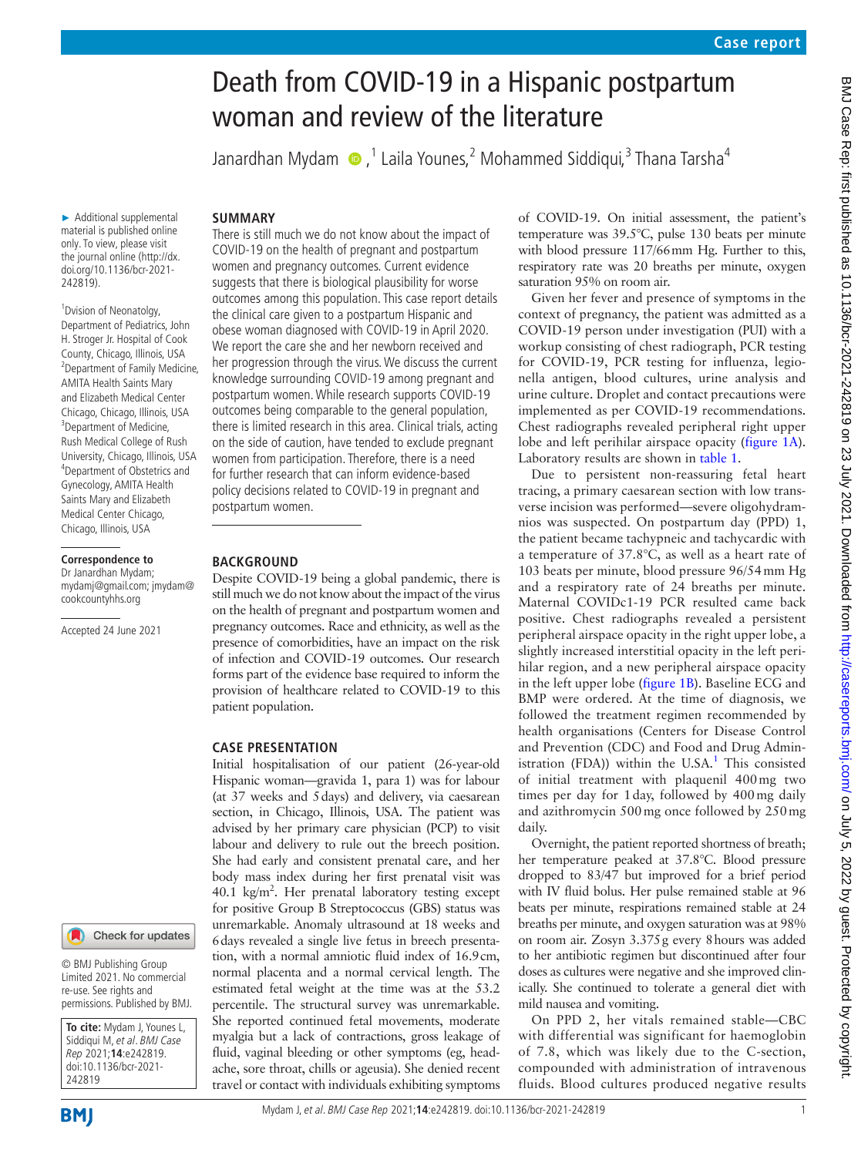# Death from COVID-19 in a Hispanic postpartum woman and review of the literature

Janardhan Mydam (D, <sup>1</sup> Laila Younes, 2 Mohammed Siddiqui, <sup>3</sup> Thana Tarsha<sup>4</sup>

# **SUMMARY**

► Additional supplemental material is published online only. To view, please visit the journal online (http://dx. doi.org/10.1136/bcr-2021- 242819).

<sup>1</sup> Dvision of Neonatolgy, Department of Pediatrics, John H. Stroger Jr. Hospital of Cook County, Chicago, Illinois, USA <sup>2</sup> Department of Family Medicine, AMITA Health Saints Mary and Elizabeth Medical Center Chicago, Chicago, Illinois, USA <sup>3</sup>Department of Medicine, Rush Medical College of Rush University, Chicago, Illinois, USA 4 Department of Obstetrics and Gynecology, AMITA Health Saints Mary and Elizabeth Medical Center Chicago, Chicago, Illinois, USA

### **Correspondence to**

Dr Janardhan Mydam; mydamj@gmail.com; jmydam@ cookcountyhhs.org

Accepted 24 June 2021

#### Check for updates

© BMJ Publishing Group Limited 2021. No commercial re-use. See rights and permissions. Published by BMJ.

**To cite:** Mydam J, Younes L, Siddiqui M, et al. BMJ Case Rep 2021;**14**:e242819. doi:10.1136/bcr-2021- 242819

**BMI** 

Mydam J, et al. BMJ Case Rep 2021;**14**:e242819. doi:10.1136/bcr-2021-242819 1

There is still much we do not know about the impact of COVID-19 on the health of pregnant and postpartum women and pregnancy outcomes. Current evidence suggests that there is biological plausibility for worse outcomes among this population. This case report details the clinical care given to a postpartum Hispanic and obese woman diagnosed with COVID-19 in April 2020. We report the care she and her newborn received and her progression through the virus. We discuss the current knowledge surrounding COVID-19 among pregnant and postpartum women. While research supports COVID-19 outcomes being comparable to the general population, there is limited research in this area. Clinical trials, acting on the side of caution, have tended to exclude pregnant women from participation. Therefore, there is a need for further research that can inform evidence-based policy decisions related to COVID-19 in pregnant and postpartum women.

# **BACKGROUND**

Despite COVID-19 being a global pandemic, there is still much we do not know about the impact of the virus on the health of pregnant and postpartum women and pregnancy outcomes. Race and ethnicity, as well as the presence of comorbidities, have an impact on the risk of infection and COVID-19 outcomes. Our research forms part of the evidence base required to inform the provision of healthcare related to COVID-19 to this patient population.

# **CASE PRESENTATION**

Initial hospitalisation of our patient (26-year-old Hispanic woman—gravida 1, para 1) was for labour (at 37 weeks and 5days) and delivery, via caesarean section, in Chicago, Illinois, USA. The patient was advised by her primary care physician (PCP) to visit labour and delivery to rule out the breech position. She had early and consistent prenatal care, and her body mass index during her first prenatal visit was 40.1 kg/m<sup>2</sup>. Her prenatal laboratory testing except for positive Group B Streptococcus (GBS) status was unremarkable. Anomaly ultrasound at 18 weeks and 6days revealed a single live fetus in breech presentation, with a normal amniotic fluid index of 16.9cm, normal placenta and a normal cervical length. The estimated fetal weight at the time was at the 53.2 percentile. The structural survey was unremarkable. She reported continued fetal movements, moderate myalgia but a lack of contractions, gross leakage of fluid, vaginal bleeding or other symptoms (eg, headache, sore throat, chills or ageusia). She denied recent travel or contact with individuals exhibiting symptoms

of COVID-19. On initial assessment, the patient's temperature was 39.5°C, pulse 130 beats per minute with blood pressure 117/66mm Hg. Further to this, respiratory rate was 20 breaths per minute, oxygen saturation 95% on room air.

Given her fever and presence of symptoms in the context of pregnancy, the patient was admitted as a COVID-19 person under investigation (PUI) with a workup consisting of chest radiograph, PCR testing for COVID-19, PCR testing for influenza, legionella antigen, blood cultures, urine analysis and urine culture. Droplet and contact precautions were implemented as per COVID-19 recommendations. Chest radiographs revealed peripheral right upper lobe and left perihilar airspace opacity [\(figure](#page-1-0) 1A). Laboratory results are shown in [table](#page-2-0) 1.

Due to persistent non-reassuring fetal heart tracing, a primary caesarean section with low transverse incision was performed—severe oligohydramnios was suspected. On postpartum day (PPD) 1, the patient became tachypneic and tachycardic with a temperature of 37.8°C, as well as a heart rate of 103 beats per minute, blood pressure 96/54mm Hg and a respiratory rate of 24 breaths per minute. Maternal COVIDc1-19 PCR resulted came back positive. Chest radiographs revealed a persistent peripheral airspace opacity in the right upper lobe, a slightly increased interstitial opacity in the left perihilar region, and a new peripheral airspace opacity in the left upper lobe [\(figure](#page-1-0) 1B). Baseline ECG and BMP were ordered. At the time of diagnosis, we followed the treatment regimen recommended by health organisations (Centers for Disease Control and Prevention (CDC) and Food and Drug Admin-istration (FDA)) within the U.SA.<sup>[1](#page-4-0)</sup> This consisted of initial treatment with plaquenil 400mg two times per day for 1day, followed by 400mg daily and azithromycin 500mg once followed by 250mg daily.

Overnight, the patient reported shortness of breath; her temperature peaked at 37.8°C. Blood pressure dropped to 83/47 but improved for a brief period with IV fluid bolus. Her pulse remained stable at 96 beats per minute, respirations remained stable at 24 breaths per minute, and oxygen saturation was at 98% on room air. Zosyn 3.375g every 8hours was added to her antibiotic regimen but discontinued after four doses as cultures were negative and she improved clinically. She continued to tolerate a general diet with mild nausea and vomiting.

On PPD 2, her vitals remained stable—CBC with differential was significant for haemoglobin of 7.8, which was likely due to the C-section, compounded with administration of intravenous fluids. Blood cultures produced negative results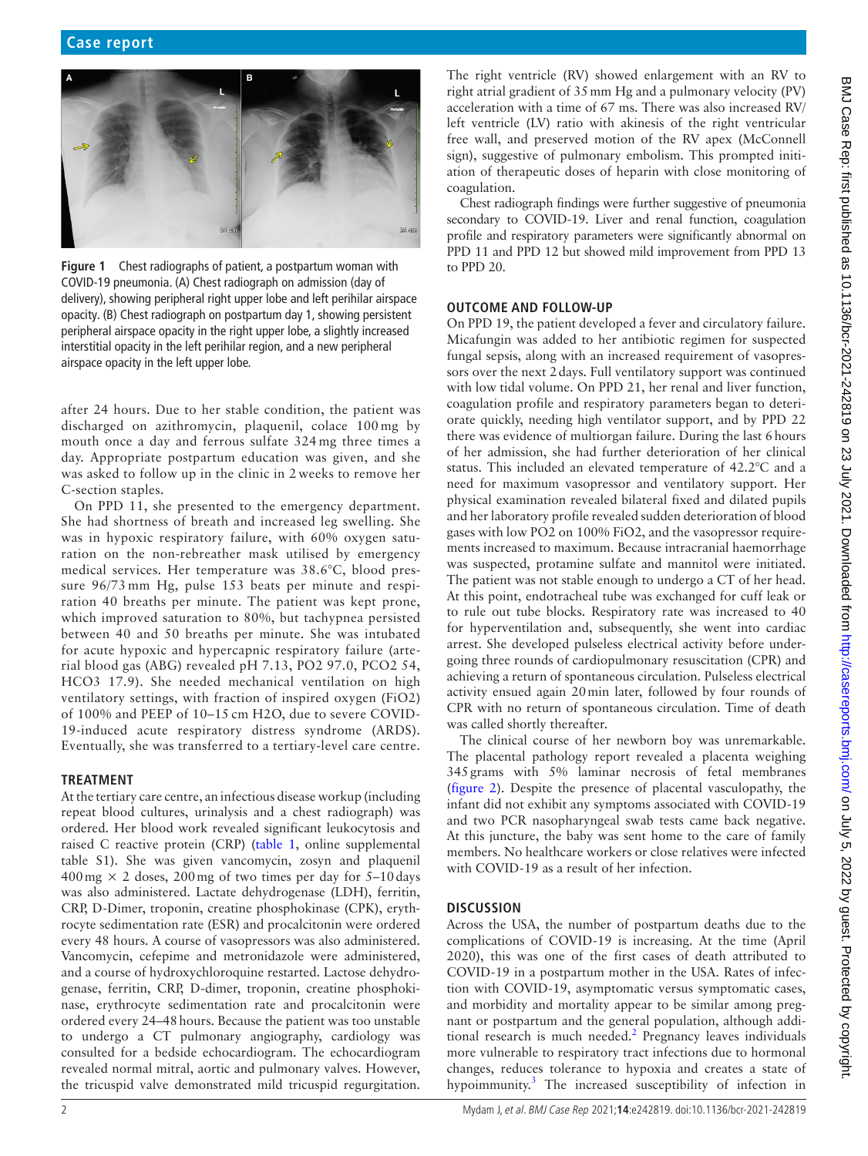<span id="page-1-0"></span>

**Figure 1** Chest radiographs of patient, a postpartum woman with COVID-19 pneumonia. (A) Chest radiograph on admission (day of delivery), showing peripheral right upper lobe and left perihilar airspace opacity. (B) Chest radiograph on postpartum day 1, showing persistent peripheral airspace opacity in the right upper lobe, a slightly increased interstitial opacity in the left perihilar region, and a new peripheral airspace opacity in the left upper lobe.

after 24 hours. Due to her stable condition, the patient was discharged on azithromycin, plaquenil, colace 100 mg by mouth once a day and ferrous sulfate 324 mg three times a day. Appropriate postpartum education was given, and she was asked to follow up in the clinic in 2 weeks to remove her C-section staples.

On PPD 11, she presented to the emergency department. She had shortness of breath and increased leg swelling. She was in hypoxic respiratory failure, with 60% oxygen saturation on the non-rebreather mask utilised by emergency medical services. Her temperature was 38.6°C, blood pressure 96/73 mm Hg, pulse 153 beats per minute and respiration 40 breaths per minute. The patient was kept prone, which improved saturation to 80%, but tachypnea persisted between 40 and 50 breaths per minute. She was intubated for acute hypoxic and hypercapnic respiratory failure (arterial blood gas (ABG) revealed pH 7.13, PO2 97.0, PCO2 54, HCO3 17.9). She needed mechanical ventilation on high ventilatory settings, with fraction of inspired oxygen (FiO2) of 100% and PEEP of 10–15 cm H2O, due to severe COVID-19-induced acute respiratory distress syndrome (ARDS). Eventually, she was transferred to a tertiary-level care centre.

# **TREATMENT**

At the tertiary care centre, an infectious disease workup (including repeat blood cultures, urinalysis and a chest radiograph) was ordered. Her blood work revealed significant leukocytosis and raised C reactive protein (CRP) [\(table](#page-2-0) 1, [online supplemental](https://dx.doi.org/10.1136/bcr-2021-242819)  [table S1\)](https://dx.doi.org/10.1136/bcr-2021-242819). She was given vancomycin, zosyn and plaquenil  $400 \,\text{mg} \times 2$  doses, 200 mg of two times per day for 5–10 days was also administered. Lactate dehydrogenase (LDH), ferritin, CRP, D-Dimer, troponin, creatine phosphokinase (CPK), erythrocyte sedimentation rate (ESR) and procalcitonin were ordered every 48 hours. A course of vasopressors was also administered. Vancomycin, cefepime and metronidazole were administered, and a course of hydroxychloroquine restarted. Lactose dehydrogenase, ferritin, CRP, D-dimer, troponin, creatine phosphokinase, erythrocyte sedimentation rate and procalcitonin were ordered every 24–48hours. Because the patient was too unstable to undergo a CT pulmonary angiography, cardiology was consulted for a bedside echocardiogram. The echocardiogram revealed normal mitral, aortic and pulmonary valves. However, the tricuspid valve demonstrated mild tricuspid regurgitation.

The right ventricle (RV) showed enlargement with an RV to right atrial gradient of 35mm Hg and a pulmonary velocity (PV) acceleration with a time of 67 ms. There was also increased RV/ left ventricle (LV) ratio with akinesis of the right ventricular free wall, and preserved motion of the RV apex (McConnell sign), suggestive of pulmonary embolism. This prompted initiation of therapeutic doses of heparin with close monitoring of coagulation.

Chest radiograph findings were further suggestive of pneumonia secondary to COVID-19. Liver and renal function, coagulation profile and respiratory parameters were significantly abnormal on PPD 11 and PPD 12 but showed mild improvement from PPD 13 to PPD 20.

# **OUTCOME AND FOLLOW-UP**

On PPD 19, the patient developed a fever and circulatory failure. Micafungin was added to her antibiotic regimen for suspected fungal sepsis, along with an increased requirement of vasopressors over the next 2days. Full ventilatory support was continued with low tidal volume. On PPD 21, her renal and liver function, coagulation profile and respiratory parameters began to deteriorate quickly, needing high ventilator support, and by PPD 22 there was evidence of multiorgan failure. During the last 6hours of her admission, she had further deterioration of her clinical status. This included an elevated temperature of 42.2°C and a need for maximum vasopressor and ventilatory support. Her physical examination revealed bilateral fixed and dilated pupils and her laboratory profile revealed sudden deterioration of blood gases with low PO2 on 100% FiO2, and the vasopressor requirements increased to maximum. Because intracranial haemorrhage was suspected, protamine sulfate and mannitol were initiated. The patient was not stable enough to undergo a CT of her head. At this point, endotracheal tube was exchanged for cuff leak or to rule out tube blocks. Respiratory rate was increased to 40 for hyperventilation and, subsequently, she went into cardiac arrest. She developed pulseless electrical activity before undergoing three rounds of cardiopulmonary resuscitation (CPR) and achieving a return of spontaneous circulation. Pulseless electrical activity ensued again 20min later, followed by four rounds of CPR with no return of spontaneous circulation. Time of death was called shortly thereafter.

The clinical course of her newborn boy was unremarkable. The placental pathology report revealed a placenta weighing 345grams with 5% laminar necrosis of fetal membranes ([figure](#page-3-0) 2). Despite the presence of placental vasculopathy, the infant did not exhibit any symptoms associated with COVID-19 and two PCR nasopharyngeal swab tests came back negative. At this juncture, the baby was sent home to the care of family members. No healthcare workers or close relatives were infected with COVID-19 as a result of her infection.

# **DISCUSSION**

Across the USA, the number of postpartum deaths due to the complications of COVID-19 is increasing. At the time (April 2020), this was one of the first cases of death attributed to COVID-19 in a postpartum mother in the USA. Rates of infection with COVID-19, asymptomatic versus symptomatic cases, and morbidity and mortality appear to be similar among pregnant or postpartum and the general population, although addi-tional research is much needed.<sup>[2](#page-4-1)</sup> Pregnancy leaves individuals more vulnerable to respiratory tract infections due to hormonal changes, reduces tolerance to hypoxia and creates a state of hypoimmunity.<sup>[3](#page-4-2)</sup> The increased susceptibility of infection in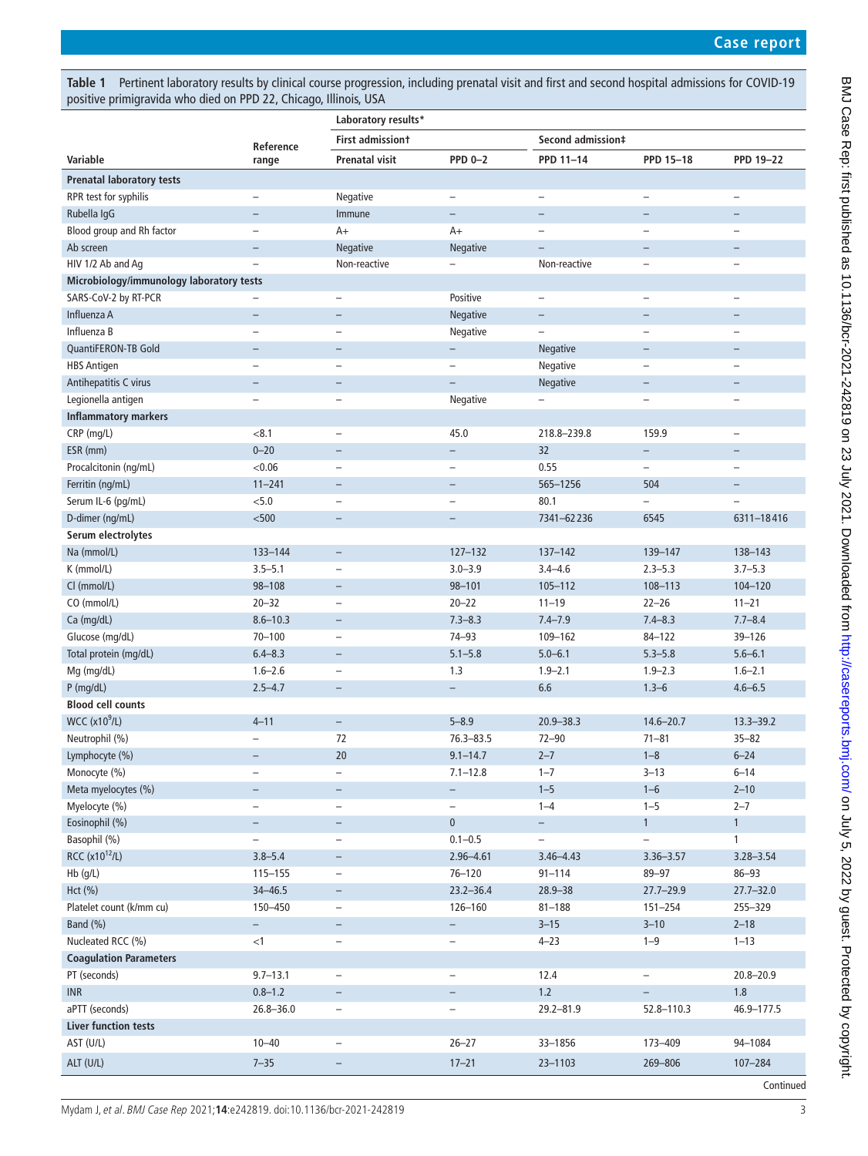<span id="page-2-0"></span>**Table 1** Pertinent laboratory results by clinical course progression, including prenatal visit and first and second hospital admissions for COVID-19 positive primigravida who died on PPD 22, Chicago, Illinois, USA

|                                          |                          | Laboratory results*      |                          |                          |                          |                          |  |
|------------------------------------------|--------------------------|--------------------------|--------------------------|--------------------------|--------------------------|--------------------------|--|
|                                          |                          | <b>First admissiont</b>  |                          | Second admission‡        |                          |                          |  |
| Variable                                 | Reference<br>range       | <b>Prenatal visit</b>    | <b>PPD 0-2</b>           | PPD 11-14                | PPD 15-18                | <b>PPD 19-22</b>         |  |
| <b>Prenatal laboratory tests</b>         |                          |                          |                          |                          |                          |                          |  |
| RPR test for syphilis                    |                          | Negative                 | $\qquad \qquad -$        |                          | $\overline{\phantom{0}}$ |                          |  |
| Rubella IgG                              | $\overline{\phantom{0}}$ | Immune                   | $\qquad \qquad -$        | $\overline{\phantom{0}}$ | $\overline{\phantom{0}}$ | $\overline{\phantom{0}}$ |  |
| Blood group and Rh factor                | $\overline{\phantom{0}}$ | $A+$                     | $A+$                     | $\overline{\phantom{0}}$ | $\overline{\phantom{0}}$ | $\overline{\phantom{0}}$ |  |
| Ab screen                                | $\overline{\phantom{0}}$ | Negative                 | <b>Negative</b>          | $\overline{\phantom{0}}$ | $\overline{\phantom{0}}$ | $\overline{\phantom{m}}$ |  |
| HIV 1/2 Ab and Aq                        | $\overline{\phantom{0}}$ | Non-reactive             |                          | Non-reactive             | $\qquad \qquad -$        | $\overline{\phantom{0}}$ |  |
| Microbiology/immunology laboratory tests |                          |                          |                          |                          |                          |                          |  |
| SARS-CoV-2 by RT-PCR                     |                          | $\qquad \qquad -$        | Positive                 | $\qquad \qquad -$        | $\overline{\phantom{0}}$ | $\overline{\phantom{0}}$ |  |
| Influenza A                              | $\overline{\phantom{0}}$ |                          | Negative                 | $\overline{\phantom{0}}$ |                          |                          |  |
| Influenza B                              | $\overline{\phantom{0}}$ |                          | Negative                 | $\overline{\phantom{0}}$ | $\overline{\phantom{0}}$ |                          |  |
| QuantiFERON-TB Gold                      | $\overline{\phantom{0}}$ | $\overline{\phantom{0}}$ | $\qquad \qquad -$        | Negative                 | $\qquad \qquad -$        |                          |  |
| <b>HBS Antigen</b>                       | $\overline{\phantom{0}}$ |                          | $\overline{\phantom{0}}$ | Negative                 | $\overline{\phantom{0}}$ |                          |  |
| Antihepatitis C virus                    | $\overline{\phantom{0}}$ | $\overline{\phantom{0}}$ | $\equiv$                 | Negative                 | $\overline{\phantom{0}}$ |                          |  |
| Legionella antigen                       | $\overline{\phantom{0}}$ | $\overline{\phantom{0}}$ | Negative                 | $\overline{\phantom{0}}$ | $\overline{\phantom{0}}$ |                          |  |
| <b>Inflammatory markers</b>              |                          |                          |                          |                          |                          |                          |  |
| CRP (mg/L)                               | < 8.1                    | $\overline{\phantom{0}}$ | 45.0                     | 218.8-239.8              | 159.9                    | $\overline{\phantom{0}}$ |  |
| ESR (mm)                                 | $0 - 20$                 | $\overline{\phantom{0}}$ | $\qquad \qquad -$        | 32                       | $\qquad \qquad -$        | $\overline{\phantom{0}}$ |  |
| Procalcitonin (ng/mL)                    | < 0.06                   |                          | $\overline{\phantom{0}}$ | 0.55                     | $\overline{\phantom{0}}$ |                          |  |
| Ferritin (ng/mL)                         | $11 - 241$               | $\qquad \qquad -$        | $\qquad \qquad -$        | 565-1256                 | 504                      | $\overline{\phantom{0}}$ |  |
| Serum IL-6 (pg/mL)                       | < 5.0                    | $\overline{\phantom{0}}$ | $\overline{\phantom{0}}$ | 80.1                     | $\overline{a}$           | $\overline{\phantom{0}}$ |  |
| D-dimer (ng/mL)                          | $500$                    | $\qquad \qquad -$        | $\qquad \qquad -$        | 7341-62236               | 6545                     | 6311-18416               |  |
| Serum electrolytes                       |                          |                          |                          |                          |                          |                          |  |
| Na (mmol/L)                              | 133-144                  | $\overline{\phantom{a}}$ | $127 - 132$              | $137 - 142$              | 139-147                  | 138-143                  |  |
| K (mmol/L)                               | $3.5 - 5.1$              | $\overline{\phantom{0}}$ | $3.0 - 3.9$              | $3.4 - 4.6$              | $2.3 - 5.3$              | $3.7 - 5.3$              |  |
| Cl (mmol/L)                              | 98-108                   | $\overline{\phantom{0}}$ | $98 - 101$               | $105 - 112$              | 108-113                  | 104-120                  |  |
| CO (mmol/L)                              | $20 - 32$                | $\overline{\phantom{0}}$ | $20 - 22$                | $11 - 19$                | $22 - 26$                | $11 - 21$                |  |
| Ca (mg/dL)                               | $8.6 - 10.3$             | $\overline{\phantom{0}}$ | $7.3 - 8.3$              | $7.4 - 7.9$              | $7.4 - 8.3$              | $7.7 - 8.4$              |  |
| Glucose (mg/dL)                          | $70 - 100$               |                          | $74 - 93$                | 109-162                  | $84 - 122$               | 39-126                   |  |
| Total protein (mg/dL)                    | $6.4 - 8.3$              | $\overline{\phantom{0}}$ | $5.1 - 5.8$              | $5.0 - 6.1$              | $5.3 - 5.8$              | $5.6 - 6.1$              |  |
| Mg (mg/dL)                               | $1.6 - 2.6$              | $\qquad \qquad -$        | 1.3                      | $1.9 - 2.1$              | $1.9 - 2.3$              | $1.6 - 2.1$              |  |
| $P$ (mg/dL)                              | $2.5 - 4.7$              | $\qquad \qquad -$        | $\qquad \qquad -$        | 6.6                      | $1.3 - 6$                | $4.6 - 6.5$              |  |
| <b>Blood cell counts</b>                 |                          |                          |                          |                          |                          |                          |  |
| <b>WCC (x10<sup>9</sup>/L)</b>           | $4 - 11$                 | $\overline{\phantom{a}}$ | $5 - 8.9$                | $20.9 - 38.3$            | $14.6 - 20.7$            | $13.3 - 39.2$            |  |
| Neutrophil (%)                           |                          | 72                       | $76.3 - 83.5$            | $72 - 90$                | $71 - 81$                | $35 - 82$                |  |
| Lymphocyte (%)                           | $\overline{\phantom{0}}$ | 20                       | $9.1 - 14.7$             | $2 - 7$                  | $1 - 8$                  | $6 - 24$                 |  |
| Monocyte (%)                             | -                        | $\qquad \qquad -$        | $7.1 - 12.8$             | $1 - 7$                  | $3 - 13$                 | $6 - 14$                 |  |
| Meta myelocytes (%)                      | $\overline{\phantom{0}}$ | $\overline{\phantom{a}}$ | $\overline{\phantom{0}}$ | $1 - 5$                  | $1 - 6$                  | $2 - 10$                 |  |
| Myelocyte (%)                            | $\overline{\phantom{0}}$ | $\qquad \qquad -$        | $\qquad \qquad -$        | $1 - 4$                  | $1 - 5$                  | $2 - 7$                  |  |
| Eosinophil (%)                           | $\overline{\phantom{0}}$ | $\qquad \qquad -$        | $\mathbf 0$              | $\overline{\phantom{0}}$ | 1                        | $\mathbf{1}$             |  |
| Basophil (%)                             | $\overline{\phantom{0}}$ | $\overline{\phantom{a}}$ | $0.1 - 0.5$              | $\overline{\phantom{0}}$ | $\overline{\phantom{0}}$ | 1                        |  |
| RCC (x10 <sup>12</sup> /L)               | $3.8 - 5.4$              | $\overline{\phantom{a}}$ | $2.96 - 4.61$            | $3.46 - 4.43$            | $3.36 - 3.57$            | $3.28 - 3.54$            |  |
| Hb (g/L)                                 | $115 - 155$              | $\overline{\phantom{a}}$ | $76 - 120$               | $91 - 114$               | 89-97                    | $86 - 93$                |  |
| Hct (%)                                  | $34 - 46.5$              | $\overline{\phantom{a}}$ | $23.2 - 36.4$            | $28.9 - 38$              | $27.7 - 29.9$            | $27.7 - 32.0$            |  |
| Platelet count (k/mm cu)                 | 150-450                  | $\qquad \qquad -$        | 126-160                  | $81 - 188$               | $151 - 254$              | 255-329                  |  |
| Band (%)                                 | $\overline{\phantom{0}}$ | $-$                      | $\overline{\phantom{0}}$ | $3 - 15$                 | $3 - 10$                 | $2 - 18$                 |  |
| Nucleated RCC (%)                        | $<$ 1                    | $\qquad \qquad -$        | $\qquad \qquad -$        | $4 - 23$                 | $1 - 9$                  | $1 - 13$                 |  |
| <b>Coagulation Parameters</b>            |                          |                          |                          |                          |                          |                          |  |
| PT (seconds)                             | $9.7 - 13.1$             | $\qquad \qquad -$        | $\qquad \qquad -$        | 12.4                     | $\qquad \qquad -$        | $20.8 - 20.9$            |  |
| <b>INR</b>                               | $0.8 - 1.2$              | $\overline{\phantom{a}}$ | $\qquad \qquad -$        | $1.2$                    | $\overline{\phantom{0}}$ | 1.8                      |  |
| aPTT (seconds)                           | $26.8 - 36.0$            | $\qquad \qquad -$        | $\overline{\phantom{0}}$ | $29.2 - 81.9$            | 52.8-110.3               | 46.9-177.5               |  |
| <b>Liver function tests</b>              |                          |                          |                          |                          |                          |                          |  |
| AST (U/L)                                | $10 - 40$                | $\overline{\phantom{a}}$ | $26 - 27$                | 33-1856                  | 173-409                  | 94-1084                  |  |
| ALT (U/L)                                | $7 - 35$                 |                          | $17 - 21$                | 23-1103                  | 269-806                  | 107-284                  |  |
|                                          |                          |                          |                          |                          |                          | Continued                |  |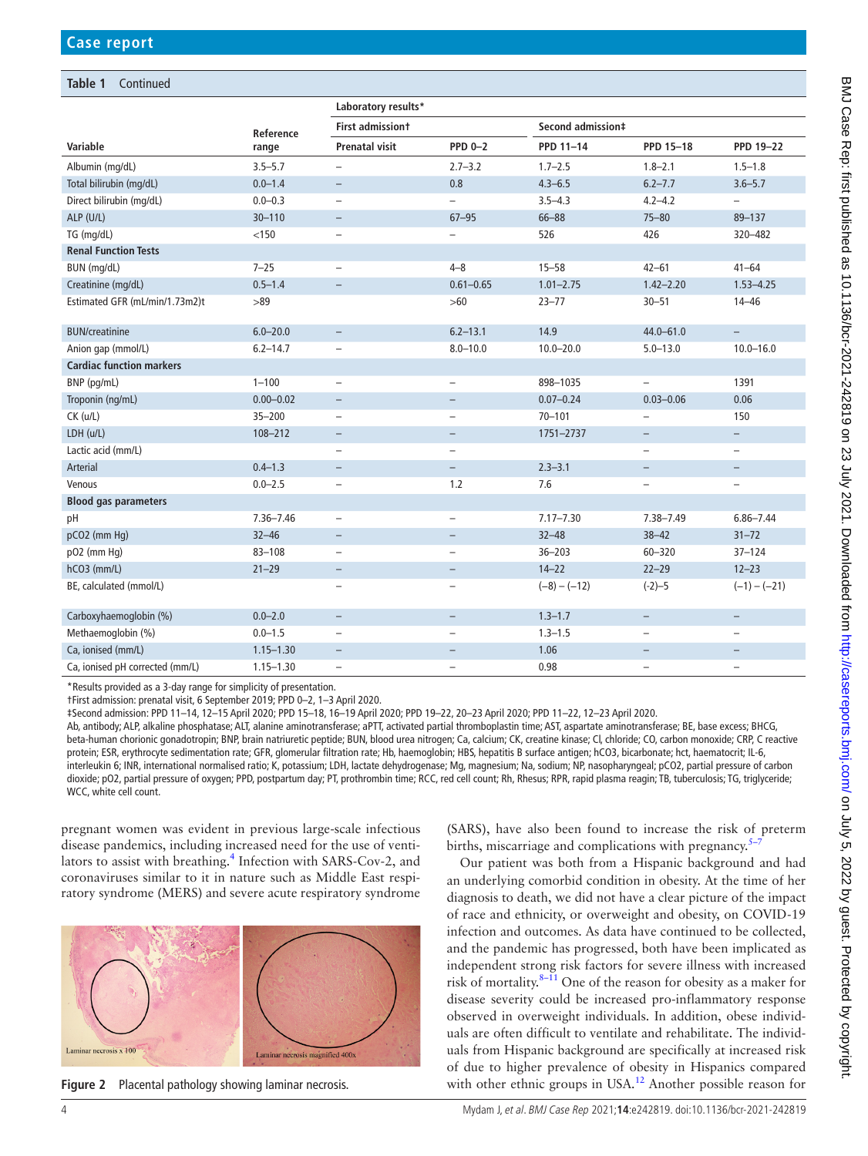# **Table 1** Continued

|                                 |               | Laboratory results*      |                          |                   |                          |                          |  |  |
|---------------------------------|---------------|--------------------------|--------------------------|-------------------|--------------------------|--------------------------|--|--|
|                                 | Reference     | <b>First admissiont</b>  |                          | Second admission‡ |                          |                          |  |  |
| Variable                        | range         | <b>Prenatal visit</b>    | <b>PPD 0-2</b>           | PPD 11-14         | PPD 15-18                | <b>PPD 19-22</b>         |  |  |
| Albumin (mg/dL)                 | $3.5 - 5.7$   | $\overline{\phantom{0}}$ | $2.7 - 3.2$              | $1.7 - 2.5$       | $1.8 - 2.1$              | $1.5 - 1.8$              |  |  |
| Total bilirubin (mg/dL)         | $0.0 - 1.4$   | $\overline{\phantom{0}}$ | 0.8                      | $4.3 - 6.5$       | $6.2 - 7.7$              | $3.6 - 5.7$              |  |  |
| Direct bilirubin (mg/dL)        | $0.0 - 0.3$   |                          |                          | $3.5 - 4.3$       | $4.2 - 4.2$              | $\overline{a}$           |  |  |
| ALP (U/L)                       | $30 - 110$    | $\qquad \qquad -$        | $67 - 95$                | $66 - 88$         | $75 - 80$                | 89-137                   |  |  |
| TG (mg/dL)                      | < 150         | $\overline{\phantom{0}}$ | $\overline{\phantom{0}}$ | 526               | 426                      | 320-482                  |  |  |
| <b>Renal Function Tests</b>     |               |                          |                          |                   |                          |                          |  |  |
| BUN (mg/dL)                     | $7 - 25$      | $\overline{\phantom{0}}$ | $4 - 8$                  | $15 - 58$         | $42 - 61$                | $41 - 64$                |  |  |
| Creatinine (mg/dL)              | $0.5 - 1.4$   | $\overline{\phantom{0}}$ | $0.61 - 0.65$            | $1.01 - 2.75$     | $1.42 - 2.20$            | $1.53 - 4.25$            |  |  |
| Estimated GFR (mL/min/1.73m2)t  | >89           |                          | $>60$                    | $23 - 77$         | $30 - 51$                | $14 - 46$                |  |  |
| <b>BUN/creatinine</b>           | $6.0 - 20.0$  | $\overline{\phantom{0}}$ | $6.2 - 13.1$             | 14.9              | $44.0 - 61.0$            | $\equiv$                 |  |  |
| Anion qap (mmol/L)              | $6.2 - 14.7$  | $\overline{\phantom{0}}$ | $8.0 - 10.0$             | $10.0 - 20.0$     | $5.0 - 13.0$             | $10.0 - 16.0$            |  |  |
| <b>Cardiac function markers</b> |               |                          |                          |                   |                          |                          |  |  |
| BNP (pg/mL)                     | $1 - 100$     | $\overline{\phantom{0}}$ | $\overline{\phantom{0}}$ | 898-1035          | $\overline{\phantom{0}}$ | 1391                     |  |  |
| Troponin (ng/mL)                | $0.00 - 0.02$ | $\qquad \qquad -$        | $\overline{\phantom{a}}$ | $0.07 - 0.24$     | $0.03 - 0.06$            | 0.06                     |  |  |
| $CK$ ( $u/L$ )                  | $35 - 200$    |                          | $\overline{\phantom{0}}$ | $70 - 101$        |                          | 150                      |  |  |
| LDH (u/L)                       | 108-212       | $\overline{\phantom{0}}$ | $\overline{\phantom{m}}$ | 1751-2737         | $-$                      | $\overline{\phantom{m}}$ |  |  |
| Lactic acid (mm/L)              |               | $\overline{\phantom{0}}$ | $\overline{\phantom{0}}$ |                   | $\overline{\phantom{0}}$ | $\overline{\phantom{0}}$ |  |  |
| Arterial                        | $0.4 - 1.3$   | $\overline{\phantom{0}}$ | $\overline{\phantom{a}}$ | $2.3 - 3.1$       | $\overline{\phantom{0}}$ | $\overline{\phantom{0}}$ |  |  |
| Venous                          | $0.0 - 2.5$   | $\qquad \qquad -$        | 1.2                      | 7.6               | $\overline{\phantom{0}}$ | $\overline{\phantom{m}}$ |  |  |
| <b>Blood gas parameters</b>     |               |                          |                          |                   |                          |                          |  |  |
| pH                              | $7.36 - 7.46$ | $\qquad \qquad -$        | $\qquad \qquad -$        | $7.17 - 7.30$     | 7.38-7.49                | $6.86 - 7.44$            |  |  |
| pCO2 (mm Hq)                    | $32 - 46$     | $\qquad \qquad -$        | $\overline{\phantom{a}}$ | $32 - 48$         | $38 - 42$                | $31 - 72$                |  |  |
| p02 (mm Hg)                     | $83 - 108$    | $\qquad \qquad -$        | $\qquad \qquad -$        | $36 - 203$        | $60 - 320$               | $37 - 124$               |  |  |
| hCO3 (mm/L)                     | $21 - 29$     | $\overline{\phantom{0}}$ | $\overline{\phantom{m}}$ | $14 - 22$         | $22 - 29$                | $12 - 23$                |  |  |
| BE, calculated (mmol/L)         |               |                          | $\overline{\phantom{0}}$ | $(-8) - (-12)$    | $(-2) - 5$               | $(-1) - (-21)$           |  |  |
| Carboxyhaemoglobin (%)          | $0.0 - 2.0$   | $\overline{\phantom{a}}$ | $\qquad \qquad -$        | $1.3 - 1.7$       | $\qquad \qquad -$        | $\overline{\phantom{a}}$ |  |  |
| Methaemoglobin (%)              | $0.0 - 1.5$   | $\overline{\phantom{0}}$ | $\overline{a}$           | $1.3 - 1.5$       | $\overline{a}$           | $\overline{\phantom{0}}$ |  |  |
| Ca, ionised (mm/L)              | $1.15 - 1.30$ | $\overline{\phantom{0}}$ | $\overline{\phantom{0}}$ | 1.06              | $\overline{\phantom{0}}$ |                          |  |  |
| Ca, ionised pH corrected (mm/L) | $1.15 - 1.30$ | $\overline{\phantom{0}}$ | $\overline{\phantom{m}}$ | 0.98              | $\overline{\phantom{0}}$ | $\overline{\phantom{0}}$ |  |  |

\*Results provided as a 3-day range for simplicity of presentation.

†First admission: prenatal visit, 6 September 2019; PPD 0–2, 1–3 April 2020.

‡Second admission: PPD 11–14, 12–15 April 2020; PPD 15–18, 16–19 April 2020; PPD 19–22, 20–23 April 2020; PPD 11–22, 12–23 April 2020.

Ab, antibody; ALP, alkaline phosphatase; ALT, alanine aminotransferase; aPTT, activated partial thromboplastin time; AST, aspartate aminotransferase; BE, base excess; BHCG, beta-human chorionic gonadotropin; BNP, brain natriuretic peptide; BUN, blood urea nitrogen; Ca, calcium; CK, creatine kinase; Cl, chloride; CO, carbon monoxide; CRP, C reactive protein; ESR, erythrocyte sedimentation rate; GFR, glomerular filtration rate; Hb, haemoglobin; HBS, hepatitis B surface antigen; hCO3, bicarbonate; hct, haematocrit; IL-6, interleukin 6; INR, international normalised ratio; K, potassium; LDH, lactate dehydrogenase; Mg, magnesium; Na, sodium; NP, nasopharyngeal; pCO2, partial pressure of carbon dioxide; pO2, partial pressure of oxygen; PPD, postpartum day; PT, prothrombin time; RCC, red cell count; Rh, Rhesus; RPR, rapid plasma reagin; TB, tuberculosis; TG, triglyceride; WCC, white cell count.

pregnant women was evident in previous large-scale infectious disease pandemics, including increased need for the use of venti-lators to assist with breathing.<sup>[4](#page-4-3)</sup> Infection with SARS-Cov-2, and coronaviruses similar to it in nature such as Middle East respiratory syndrome (MERS) and severe acute respiratory syndrome



<span id="page-3-0"></span>**Figure 2** Placental pathology showing laminar necrosis.

(SARS), have also been found to increase the risk of preterm births, miscarriage and complications with pregnancy.<sup>5</sup>

Our patient was both from a Hispanic background and had an underlying comorbid condition in obesity. At the time of her diagnosis to death, we did not have a clear picture of the impact of race and ethnicity, or overweight and obesity, on COVID-19 infection and outcomes. As data have continued to be collected, and the pandemic has progressed, both have been implicated as independent strong risk factors for severe illness with increased risk of mortality. $8-11$  One of the reason for obesity as a maker for disease severity could be increased pro-inflammatory response observed in overweight individuals. In addition, obese individuals are often difficult to ventilate and rehabilitate. The individuals from Hispanic background are specifically at increased risk of due to higher prevalence of obesity in Hispanics compared with other ethnic groups in USA.<sup>12</sup> Another possible reason for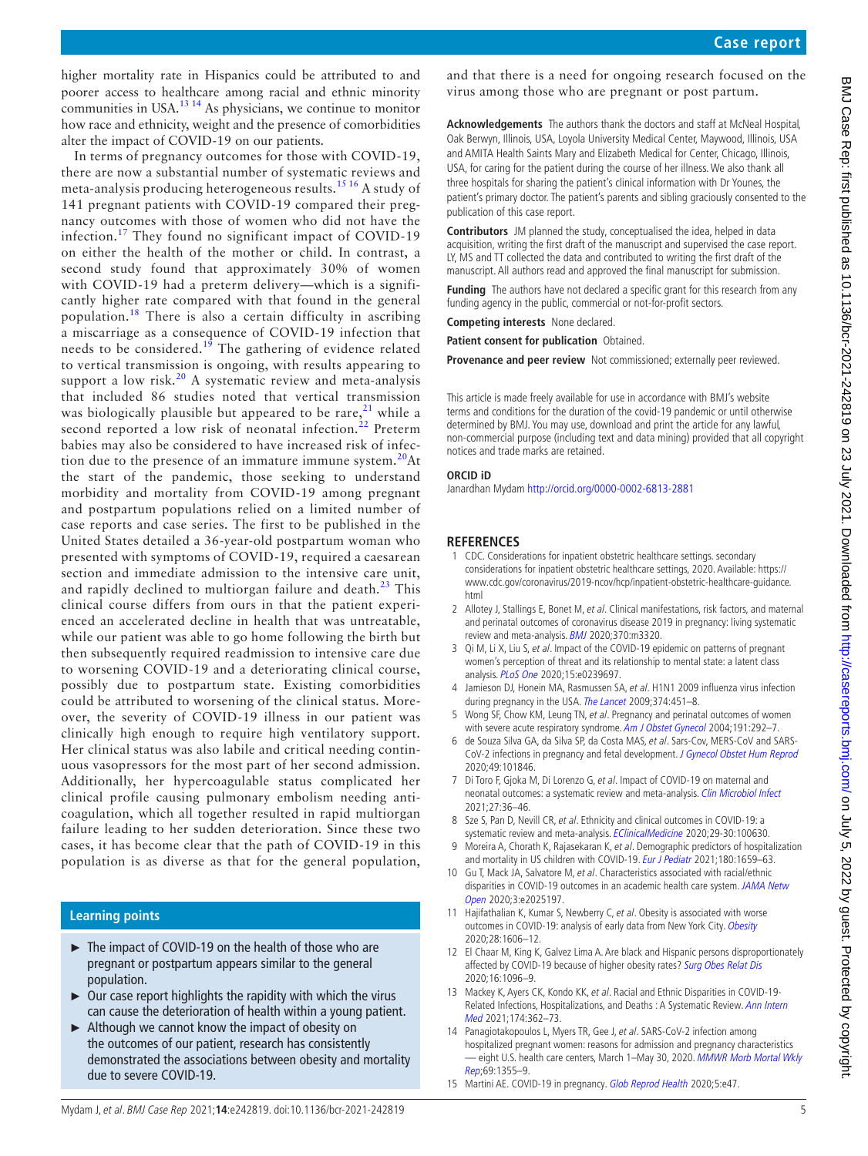higher mortality rate in Hispanics could be attributed to and poorer access to healthcare among racial and ethnic minority communities in USA.<sup>13 14</sup> As physicians, we continue to monitor how race and ethnicity, weight and the presence of comorbidities alter the impact of COVID-19 on our patients.

In terms of pregnancy outcomes for those with COVID-19, there are now a substantial number of systematic reviews and meta-analysis producing heterogeneous results.[15 16](#page-4-8) A study of 141 pregnant patients with COVID-19 compared their pregnancy outcomes with those of women who did not have the infection.[17](#page-5-0) They found no significant impact of COVID-19 on either the health of the mother or child. In contrast, a second study found that approximately 30% of women with COVID-19 had a preterm delivery—which is a significantly higher rate compared with that found in the general population.<sup>18</sup> There is also a certain difficulty in ascribing a miscarriage as a consequence of COVID-19 infection that needs to be considered.<sup>[19](#page-5-2)</sup> The gathering of evidence related to vertical transmission is ongoing, with results appearing to support a low risk.<sup>20</sup> A systematic review and meta-analysis that included 86 studies noted that vertical transmission was biologically plausible but appeared to be rare,  $21$  while a second reported a low risk of neonatal infection.<sup>[22](#page-5-5)</sup> Preterm babies may also be considered to have increased risk of infection due to the presence of an immature immune system. $20$ At the start of the pandemic, those seeking to understand morbidity and mortality from COVID-19 among pregnant and postpartum populations relied on a limited number of case reports and case series. The first to be published in the United States detailed a 36-year-old postpartum woman who presented with symptoms of COVID-19, required a caesarean section and immediate admission to the intensive care unit, and rapidly declined to multiorgan failure and death. $^{23}$  This clinical course differs from ours in that the patient experienced an accelerated decline in health that was untreatable, while our patient was able to go home following the birth but then subsequently required readmission to intensive care due to worsening COVID-19 and a deteriorating clinical course, possibly due to postpartum state. Existing comorbidities could be attributed to worsening of the clinical status. Moreover, the severity of COVID-19 illness in our patient was clinically high enough to require high ventilatory support. Her clinical status was also labile and critical needing continuous vasopressors for the most part of her second admission. Additionally, her hypercoagulable status complicated her clinical profile causing pulmonary embolism needing anticoagulation, which all together resulted in rapid multiorgan failure leading to her sudden deterioration. Since these two cases, it has become clear that the path of COVID-19 in this population is as diverse as that for the general population,

# **Learning points**

- ► The impact of COVID-19 on the health of those who are pregnant or postpartum appears similar to the general population.
- $\triangleright$  Our case report highlights the rapidity with which the virus can cause the deterioration of health within a young patient.
- ► Although we cannot know the impact of obesity on the outcomes of our patient, research has consistently demonstrated the associations between obesity and mortality due to severe COVID-19.

and that there is a need for ongoing research focused on the virus among those who are pregnant or post partum.

**Acknowledgements** The authors thank the doctors and staff at McNeal Hospital, Oak Berwyn, Illinois, USA, Loyola University Medical Center, Maywood, Illinois, USA and AMITA Health Saints Mary and Elizabeth Medical for Center, Chicago, Illinois, USA, for caring for the patient during the course of her illness. We also thank all three hospitals for sharing the patient's clinical information with Dr Younes, the patient's primary doctor. The patient's parents and sibling graciously consented to the publication of this case report.

**Contributors** JM planned the study, conceptualised the idea, helped in data acquisition, writing the first draft of the manuscript and supervised the case report. LY, MS and TT collected the data and contributed to writing the first draft of the manuscript. All authors read and approved the final manuscript for submission.

**Funding** The authors have not declared a specific grant for this research from any funding agency in the public, commercial or not-for-profit sectors.

**Competing interests** None declared.

**Patient consent for publication** Obtained.

**Provenance and peer review** Not commissioned; externally peer reviewed.

This article is made freely available for use in accordance with BMJ's website terms and conditions for the duration of the covid-19 pandemic or until otherwise determined by BMJ. You may use, download and print the article for any lawful, non-commercial purpose (including text and data mining) provided that all copyright notices and trade marks are retained.

#### **ORCID iD**

Janardhan Mydam<http://orcid.org/0000-0002-6813-2881>

## **REFERENCES**

- <span id="page-4-0"></span>1 CDC. Considerations for inpatient obstetric healthcare settings. secondary considerations for inpatient obstetric healthcare settings, 2020. Available: [https://](https://www.cdc.gov/coronavirus/2019-ncov/hcp/inpatient-obstetric-healthcare-guidance.html) [www.cdc.gov/coronavirus/2019-ncov/hcp/inpatient-obstetric-healthcare-guidance.](https://www.cdc.gov/coronavirus/2019-ncov/hcp/inpatient-obstetric-healthcare-guidance.html) [html](https://www.cdc.gov/coronavirus/2019-ncov/hcp/inpatient-obstetric-healthcare-guidance.html)
- <span id="page-4-1"></span>2 Allotey J, Stallings E, Bonet M, et al. Clinical manifestations, risk factors, and maternal and perinatal outcomes of coronavirus disease 2019 in pregnancy: living systematic review and meta-analysis. **[BMJ](http://dx.doi.org/10.1136/bmj.m3320)** 2020;370:m3320.
- <span id="page-4-2"></span>3 Qi M, Li X, Liu S, et al. Impact of the COVID-19 epidemic on patterns of pregnant women's perception of threat and its relationship to mental state: a latent class analysis. [PLoS One](http://dx.doi.org/10.1371/journal.pone.0239697) 2020;15:e0239697.
- <span id="page-4-3"></span>4 Jamieson DJ, Honein MA, Rasmussen SA, et al. H1N1 2009 influenza virus infection during pregnancy in the USA. [The Lancet](http://dx.doi.org/10.1016/S0140-6736(09)61304-0) 2009;374:451-8.
- <span id="page-4-4"></span>5 Wong SF, Chow KM, Leung TN, et al. Pregnancy and perinatal outcomes of women with severe acute respiratory syndrome. [Am J Obstet Gynecol](http://dx.doi.org/10.1016/j.ajog.2003.11.019) 2004;191:292-7.
- 6 de Souza Silva GA, da Silva SP, da Costa MAS, et al. Sars-Cov, MERS-CoV and SARS-CoV-2 infections in pregnancy and fetal development. [J Gynecol Obstet Hum Reprod](http://dx.doi.org/10.1016/j.jogoh.2020.101846) 2020;49:101846.
- 7 Di Toro F, Gjoka M, Di Lorenzo G, et al. Impact of COVID-19 on maternal and neonatal outcomes: a systematic review and meta-analysis. [Clin Microbiol Infect](http://dx.doi.org/10.1016/j.cmi.2020.10.007) 2021;27:36–46.
- <span id="page-4-5"></span>8 Sze S, Pan D, Nevill CR, et al. Ethnicity and clinical outcomes in COVID-19: a systematic review and meta-analysis. [EClinicalMedicine](http://dx.doi.org/10.1016/j.eclinm.2020.100630) 2020;29-30:100630.
- 9 Moreira A, Chorath K, Rajasekaran K, et al. Demographic predictors of hospitalization and mortality in US children with COVID-19. [Eur J Pediatr](http://dx.doi.org/10.1007/s00431-021-03955-x) 2021;180:1659-63.
- 10 Gu T, Mack JA, Salvatore M, et al. Characteristics associated with racial/ethnic disparities in COVID-19 outcomes in an academic health care system. JAMA Netw [Open](http://dx.doi.org/10.1001/jamanetworkopen.2020.25197) 2020;3:e2025197.
- 11 Hajifathalian K, Kumar S, Newberry C, et al. Obesity is associated with worse outcomes in COVID-19: analysis of early data from New York City. [Obesity](http://dx.doi.org/10.1002/oby.22923) 2020;28:1606–12.
- <span id="page-4-6"></span>12 El Chaar M, King K, Galvez Lima A. Are black and Hispanic persons disproportionately affected by COVID-19 because of higher obesity rates? [Surg Obes Relat Dis](http://dx.doi.org/10.1016/j.soard.2020.04.038) 2020;16:1096–9.
- <span id="page-4-7"></span>13 Mackey K, Ayers CK, Kondo KK, et al. Racial and Ethnic Disparities in COVID-19-Related Infections, Hospitalizations, and Deaths : A Systematic Review. Ann Intern [Med](http://dx.doi.org/10.7326/M20-6306) 2021;174:362–73.
- 14 Panagiotakopoulos L, Myers TR, Gee J, et al. SARS-CoV-2 infection among hospitalized pregnant women: reasons for admission and pregnancy characteristics – eight U.S. health care centers, March 1–May 30, 2020. MMWR Morb Mortal Wkly [Rep](http://dx.doi.org/10.15585/mmwr.mm6938e2);69:1355–9.
- <span id="page-4-8"></span>15 Martini AE. COVID-19 in pregnancy. [Glob Reprod Health](http://dx.doi.org/10.1097/GRH.0000000000000047) 2020;5:e47.